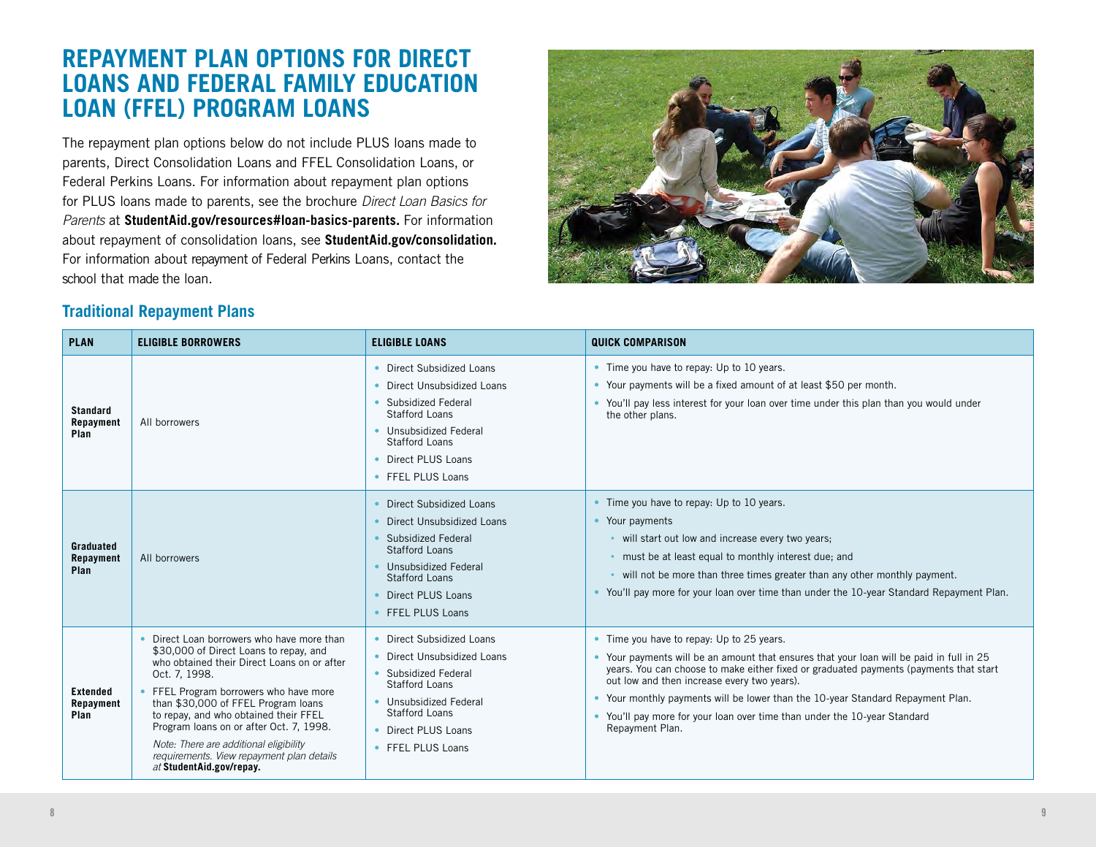## **REPAYMENT PLAN OPTIONS FOR DIRECT LOANS AND FEDERAL FAMILY EDUCATION LOAN (FFEL) PROGRAM LOANS**

The repayment plan options below do not include PLUS loans made to parents, Direct Consolidation Loans and FFEL Consolidation Loans, or Federal Perkins Loans. For information about repayment plan options for PLUS loans made to parents, see the brochure *Direct Loan Basics for Parents* at **StudentAid.gov/resources#loan-basics-parents.** For information about repayment of consolidation loans, see **StudentAid.gov/consolidation.**  For information about repayment of Federal Perkins Loans, contact the school that made the loan.



## **Traditional Repayment Plans**

| <b>PLAN</b>                          | <b>ELIGIBLE BORROWERS</b>                                                                                                                                                                                                                                                                                                                                                                                                                | <b>ELIGIBLE LOANS</b>                                                                                                                                                                                    | <b>QUICK COMPARISON</b>                                                                                                                                                                                                                                                                                                                                                                                                                                          |
|--------------------------------------|------------------------------------------------------------------------------------------------------------------------------------------------------------------------------------------------------------------------------------------------------------------------------------------------------------------------------------------------------------------------------------------------------------------------------------------|----------------------------------------------------------------------------------------------------------------------------------------------------------------------------------------------------------|------------------------------------------------------------------------------------------------------------------------------------------------------------------------------------------------------------------------------------------------------------------------------------------------------------------------------------------------------------------------------------------------------------------------------------------------------------------|
| <b>Standard</b><br>Repayment<br>Plan | All borrowers                                                                                                                                                                                                                                                                                                                                                                                                                            | • Direct Subsidized Loans<br>Direct Unsubsidized Loans<br>• Subsidized Federal<br>Stafford Loans<br>• Unsubsidized Federal<br>Stafford Loans<br>• Direct PLUS Loans<br>• FFEL PLUS Loans                 | • Time you have to repay: Up to 10 years.<br>• Your payments will be a fixed amount of at least \$50 per month.<br>• You'll pay less interest for your loan over time under this plan than you would under<br>the other plans.                                                                                                                                                                                                                                   |
| Graduated<br>Repayment<br>Plan       | All borrowers                                                                                                                                                                                                                                                                                                                                                                                                                            | Direct Subsidized Loans<br>Direct Unsubsidized Loans<br>Subsidized Federal<br><b>Stafford Loans</b><br>Unsubsidized Federal<br><b>Stafford Loans</b><br>Direct PLUS Loans<br>• FFEL PLUS Loans           | • Time you have to repay: Up to 10 years.<br>• Your payments<br>. will start out low and increase every two years;<br>. must be at least equal to monthly interest due; and<br>. will not be more than three times greater than any other monthly payment.<br>• You'll pay more for your loan over time than under the 10-year Standard Repayment Plan.                                                                                                          |
| <b>Extended</b><br>Repayment<br>Plan | Direct Loan borrowers who have more than<br>\$30,000 of Direct Loans to repay, and<br>who obtained their Direct Loans on or after<br>Oct. 7, 1998.<br>FFEL Program borrowers who have more<br>than \$30,000 of FFEL Program loans<br>to repay, and who obtained their FFEL<br>Program Ioans on or after Oct. 7, 1998.<br>Note: There are additional eligibility<br>requirements. View repayment plan details<br>at StudentAid.gov/repay. | • Direct Subsidized Loans<br>• Direct Unsubsidized Loans<br>• Subsidized Federal<br><b>Stafford Loans</b><br>• Unsubsidized Federal<br><b>Stafford Loans</b><br>• Direct PLUS Loans<br>• FFEL PLUS Loans | • Time you have to repay: Up to 25 years.<br>• Your payments will be an amount that ensures that your loan will be paid in full in 25<br>years. You can choose to make either fixed or graduated payments (payments that start<br>out low and then increase every two years).<br>• Your monthly payments will be lower than the 10-year Standard Repayment Plan.<br>• You'll pay more for your loan over time than under the 10-year Standard<br>Repayment Plan. |